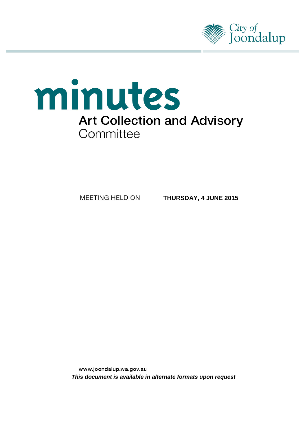

# minutes **Art Collection and Advisory** Committee

MEETING HELD ON

**THURSDAY, 4 JUNE 2015**

www.joondalup.wa.gov.au *This document is available in alternate formats upon request*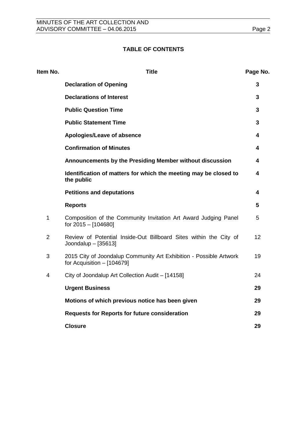# **TABLE OF CONTENTS**

| Item No.       | <b>Title</b>                                                                                       | Page No. |
|----------------|----------------------------------------------------------------------------------------------------|----------|
|                | <b>Declaration of Opening</b>                                                                      | 3        |
|                | <b>Declarations of Interest</b>                                                                    | 3        |
|                | <b>Public Question Time</b>                                                                        | 3        |
|                | <b>Public Statement Time</b>                                                                       | 3        |
|                | Apologies/Leave of absence                                                                         | 4        |
|                | <b>Confirmation of Minutes</b>                                                                     | 4        |
|                | Announcements by the Presiding Member without discussion                                           | 4        |
|                | Identification of matters for which the meeting may be closed to<br>the public                     | 4        |
|                | <b>Petitions and deputations</b>                                                                   | 4        |
|                | <b>Reports</b>                                                                                     | 5        |
| $\mathbf{1}$   | Composition of the Community Invitation Art Award Judging Panel<br>for 2015 - [104680]             | 5        |
| $\overline{2}$ | Review of Potential Inside-Out Billboard Sites within the City of<br>Joondalup $-$ [35613]         | 12       |
| 3              | 2015 City of Joondalup Community Art Exhibition - Possible Artwork<br>for Acquisition $-$ [104679] | 19       |
| 4              | City of Joondalup Art Collection Audit - [14158]                                                   | 24       |
|                | <b>Urgent Business</b>                                                                             | 29       |
|                | Motions of which previous notice has been given                                                    | 29       |
|                | <b>Requests for Reports for future consideration</b>                                               | 29       |
|                | <b>Closure</b>                                                                                     | 29       |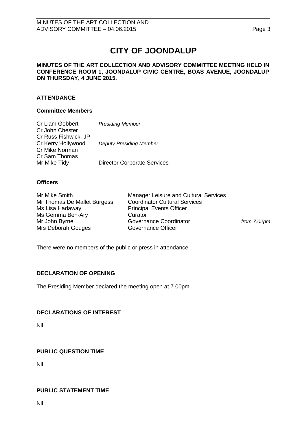# **CITY OF JOONDALUP**

#### **MINUTES OF THE ART COLLECTION AND ADVISORY COMMITTEE MEETING HELD IN CONFERENCE ROOM 1, JOONDALUP CIVIC CENTRE, BOAS AVENUE, JOONDALUP ON THURSDAY, 4 JUNE 2015.**

#### **ATTENDANCE**

#### **Committee Members**

| <b>Cr Liam Gobbert</b> | <b>Presiding Member</b>            |
|------------------------|------------------------------------|
| Cr John Chester        |                                    |
| Cr Russ Fishwick, JP   |                                    |
| Cr Kerry Hollywood     | <b>Deputy Presiding Member</b>     |
| Cr Mike Norman         |                                    |
| Cr Sam Thomas          |                                    |
| Mr Mike Tidy           | <b>Director Corporate Services</b> |

#### **Officers**

| Mr Mike Smith               | <b>Manager Leisure and Cultural Services</b> |
|-----------------------------|----------------------------------------------|
| Mr Thomas De Mallet Burgess | <b>Coordinator Cultural Services</b>         |
| Ms Lisa Hadaway             | <b>Principal Events Officer</b>              |
| Ms Gemma Ben-Ary            | Curator                                      |
| Mr John Byrne               | Governance Coordinator                       |
| Mrs Deborah Gouges          | Governance Officer                           |

from 7.02pm

There were no members of the public or press in attendance.

#### <span id="page-2-0"></span>**DECLARATION OF OPENING**

The Presiding Member declared the meeting open at 7.00pm.

#### <span id="page-2-1"></span>**DECLARATIONS OF INTEREST**

Nil.

#### <span id="page-2-2"></span>**PUBLIC QUESTION TIME**

Nil.

#### <span id="page-2-3"></span>**PUBLIC STATEMENT TIME**

Nil.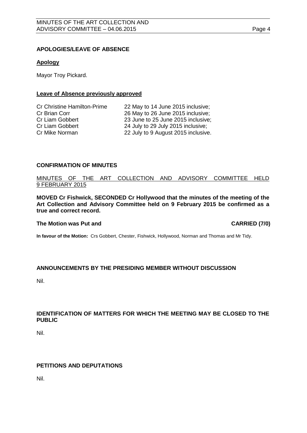#### <span id="page-3-0"></span>**APOLOGIES/LEAVE OF ABSENCE**

#### **Apology**

Mayor Troy Pickard.

#### **Leave of Absence previously approved**

| 22 May to 14 June 2015 inclusive;   |
|-------------------------------------|
| 26 May to 26 June 2015 inclusive;   |
| 23 June to 25 June 2015 inclusive;  |
| 24 July to 29 July 2015 inclusive;  |
| 22 July to 9 August 2015 inclusive. |
|                                     |

#### <span id="page-3-1"></span>**CONFIRMATION OF MINUTES**

#### MINUTES OF THE ART COLLECTION AND ADVISORY COMMITTEE HELD 9 FEBRUARY 2015

**MOVED Cr Fishwick, SECONDED Cr Hollywood that the minutes of the meeting of the Art Collection and Advisory Committee held on 9 February 2015 be confirmed as a true and correct record.**

#### **The Motion was Put and CARRIED (7/0)**

**In favour of the Motion:** Crs Gobbert, Chester, Fishwick, Hollywood, Norman and Thomas and Mr Tidy.

### <span id="page-3-2"></span>**ANNOUNCEMENTS BY THE PRESIDING MEMBER WITHOUT DISCUSSION**

Nil.

#### <span id="page-3-3"></span>**IDENTIFICATION OF MATTERS FOR WHICH THE MEETING MAY BE CLOSED TO THE PUBLIC**

Nil.

### <span id="page-3-4"></span>**PETITIONS AND DEPUTATIONS**

Nil.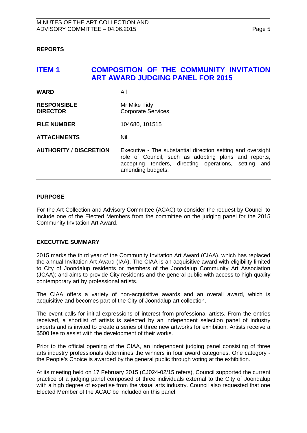#### <span id="page-4-0"></span>**REPORTS**

# <span id="page-4-1"></span>**ITEM 1 COMPOSITION OF THE COMMUNITY INVITATION ART AWARD JUDGING PANEL FOR 2015**

| <b>WARD</b>                           | All                                                                                                                                                                                                 |
|---------------------------------------|-----------------------------------------------------------------------------------------------------------------------------------------------------------------------------------------------------|
| <b>RESPONSIBLE</b><br><b>DIRECTOR</b> | Mr Mike Tidy<br><b>Corporate Services</b>                                                                                                                                                           |
| <b>FILE NUMBER</b>                    | 104680, 101515                                                                                                                                                                                      |
| <b>ATTACHMENTS</b>                    | Nil.                                                                                                                                                                                                |
| <b>AUTHORITY / DISCRETION</b>         | Executive - The substantial direction setting and oversight<br>role of Council, such as adopting plans and reports,<br>accepting tenders, directing operations, setting<br>and<br>amending budgets. |

#### **PURPOSE**

For the Art Collection and Advisory Committee (ACAC) to consider the request by Council to include one of the Elected Members from the committee on the judging panel for the 2015 Community Invitation Art Award.

#### **EXECUTIVE SUMMARY**

2015 marks the third year of the Community Invitation Art Award (CIAA), which has replaced the annual Invitation Art Award (IAA). The CIAA is an acquisitive award with eligibility limited to City of Joondalup residents or members of the Joondalup Community Art Association (JCAA); and aims to provide City residents and the general public with access to high quality contemporary art by professional artists.

The CIAA offers a variety of non-acquisitive awards and an overall award, which is acquisitive and becomes part of the City of Joondalup art collection.

The event calls for initial expressions of interest from professional artists. From the entries received, a shortlist of artists is selected by an independent selection panel of industry experts and is invited to create a series of three new artworks for exhibition. Artists receive a \$500 fee to assist with the development of their works.

Prior to the official opening of the CIAA, an independent judging panel consisting of three arts industry professionals determines the winners in four award categories. One category the People's Choice is awarded by the general public through voting at the exhibition.

At its meeting held on 17 February 2015 (CJ024-02/15 refers), Council supported the current practice of a judging panel composed of three individuals external to the City of Joondalup with a high degree of expertise from the visual arts industry. Council also requested that one Elected Member of the ACAC be included on this panel.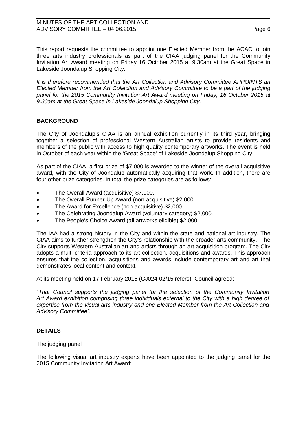This report requests the committee to appoint one Elected Member from the ACAC to join three arts industry professionals as part of the CIAA judging panel for the Community Invitation Art Award meeting on Friday 16 October 2015 at 9.30am at the Great Space in Lakeside Joondalup Shopping City.

*It is therefore recommended that the Art Collection and Advisory Committee APPOINTS an Elected Member from the Art Collection and Advisory Committee to be a part of the judging panel for the 2015 Community Invitation Art Award meeting on Friday, 16 October 2015 at 9.30am at the Great Space in Lakeside Joondalup Shopping City.*

#### **BACKGROUND**

The City of Joondalup's CIAA is an annual exhibition currently in its third year, bringing together a selection of professional Western Australian artists to provide residents and members of the public with access to high quality contemporary artworks. The event is held in October of each year within the 'Great Space' of Lakeside Joondalup Shopping City.

As part of the CIAA, a first prize of \$7,000 is awarded to the winner of the overall acquisitive award, with the City of Joondalup automatically acquiring that work. In addition, there are four other prize categories. In total the prize categories are as follows:

- The Overall Award (acquisitive) \$7,000.
- The Overall Runner-Up Award (non-acquisitive) \$2,000.
- The Award for Excellence (non-acquisitive) \$2,000.
- The Celebrating Joondalup Award (voluntary category) \$2,000.
- The People's Choice Award (all artworks eligible) \$2,000.

The IAA had a strong history in the City and within the state and national art industry. The CIAA aims to further strengthen the City's relationship with the broader arts community. The City supports Western Australian art and artists through an art acquisition program. The City adopts a multi-criteria approach to its art collection, acquisitions and awards. This approach ensures that the collection, acquisitions and awards include contemporary art and art that demonstrates local content and context.

At its meeting held on 17 February 2015 (CJ024-02/15 refers), Council agreed:

*"That Council supports the judging panel for the selection of the Community Invitation Art Award exhibition comprising three individuals external to the City with a high degree of expertise from the visual arts industry and one Elected Member from the Art Collection and Advisory Committee".*

#### **DETAILS**

#### The judging panel

The following visual art industry experts have been appointed to the judging panel for the 2015 Community Invitation Art Award: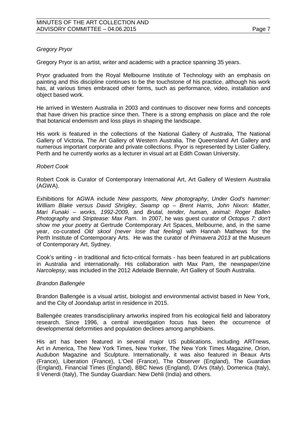#### *Gregory Pryor*

Gregory Pryor is an artist, writer and academic with a practice spanning 35 years.

Pryor graduated from the Royal Melbourne Institute of Technology with an emphasis on painting and this discipline continues to be the touchstone of his practice, although his work has, at various times embraced other forms, such as performance, video, installation and object based work.

He arrived in Western Australia in 2003 and continues to discover new forms and concepts that have driven his practice since then. There is a strong emphasis on place and the role that botanical endemism and loss plays in shaping the landscape.

His work is featured in the collections of the National Gallery of Australia, The National Gallery of Victoria, The Art Gallery of Western Australia, The Queensland Art Gallery and numerous important corporate and private collections. Pryor is represented by Lister Gallery, Perth and he currently works as a lecturer in visual art at Edith Cowan University.

#### *Robert Cook*

Robert Cook is Curator of Contemporary International Art, Art Gallery of Western Australia (AGWA).

Exhibitions for AGWA include *New passports, New photography*, *Under God's hammer: William Blake versus David Shrigley*, *Swamp op – Brent Harris*, *John Nixon: Matter, Mari Funaki – works, 1992-2009,* and *Brutal, tender, human, animal: Roger Ballen Photography* and *Striptease: Max Pam*. In 2007, he was guest curator of *Octopus 7: don't show me your poetry* at Gertrude Contemporary Art Spaces, Melbourne, and, in the same year, co-curated *Old skool (never lose that feeling)* with Hannah Mathews for the Perth Institute of Contemporary Arts. He was the curator of *Primavera 2013* at the Museum of Contemporary Art, Sydney.

Cook's writing - in traditional and ficto-critical formats - has been featured in art publications in Australia and internationally. His collaboration with Max Pam, the newspaper/zine *Narcolepsy*, was included in the 2012 Adelaide Biennale, Art Gallery of South Australia.

#### *Brandon Ballengée*

Brandon Ballengée is a visual artist, biologist and environmental activist based in New York, and the City of Joondalup artist in residence in 2015.

Ballengée creates transdisciplinary artworks inspired from his ecological field and laboratory research. Since 1996, a central investigation focus has been the occurrence of developmental deformities and population declines among amphibians.

His art has been featured in several major US publications, including ARTnews, Art in America, The New York Times, New Yorker, The New York Times Magazine, Orion, Audubon Magazine and Sculpture. Internationally, it was also featured in Beaux Arts (France), Liberation (France), L'Oeil (France), The Observer (England), The Guardian (England), Financial Times (England), BBC News (England), D'Ars (Italy), Domenica (Italy), Il Venerdi (Italy), The Sunday Guardian: New Dehli (India) and others.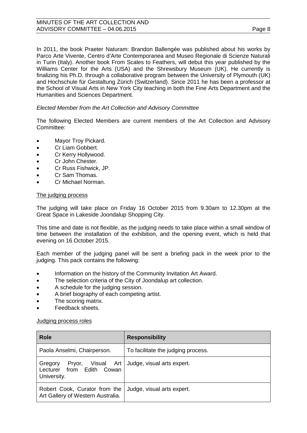#### MINUTES OF THE ART COLLECTION AND ADVISORY COMMITTEE – 04.06.2015

In 2011, the book Praeter Naturam: Brandon Ballengée was published about his works by Parco Arte Vivente, Centro d'Arte Contemporanea and Museo Regionale di Scienze Naturali in Turin (Italy). Another book From Scales to Feathers, will debut this year published by the Williams Center for the Arts (USA) and the Shrewsbury Museum (UK). He currently is finalizing his Ph.D. through a collaborative program between the University of Plymouth (UK) and Hochschule für Gestaltung Zürich (Switzerland). Since 2011 he has been a professor at the School of Visual Arts in New York City teaching in both the Fine Arts Department and the Humanities and Sciences Department.

#### *Elected Member from the Art Collection and Advisory Committee*

The following Elected Members are current members of the Art Collection and Advisory Committee:

- Mayor Troy Pickard.
- Cr Liam Gobbert.
- Cr Kerry Hollywood.
- Cr John Chester.
- Cr Russ Fishwick, JP.
- Cr Sam Thomas.
- Cr Michael Norman.

#### The judging process

The judging will take place on Friday 16 October 2015 from 9.30am to 12.30pm at the Great Space in Lakeside Joondalup Shopping City.

This time and date is not flexible, as the judging needs to take place within a small window of time between the installation of the exhibition, and the opening event, which is held that evening on 16 October 2015.

Each member of the judging panel will be sent a briefing pack in the week prior to the judging. This pack contains the following:

- Information on the history of the Community Invitation Art Award.
- The selection criteria of the City of Joondalup art collection.
- A schedule for the judging session.
- A brief biography of each competing artist.
- The scoring matrix.
- Feedback sheets.

#### Judging process roles

| <b>Role</b>                                                                      | <b>Responsibility</b>              |
|----------------------------------------------------------------------------------|------------------------------------|
| Paola Anselmi, Chairperson.                                                      | To facilitate the judging process. |
| Visual Art  <br>Gregory<br>Pryor,<br>Lecturer from Edith<br>Cowan<br>University. | Judge, visual arts expert.         |
| Robert Cook, Curator from the<br>Art Gallery of Western Australia.               | Judge, visual arts expert.         |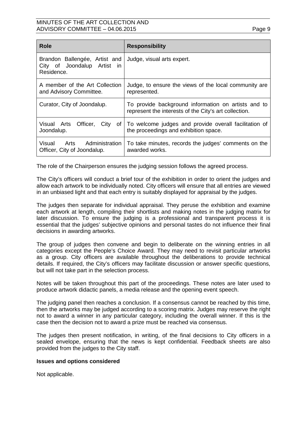| <b>Role</b>                                                                | <b>Responsibility</b>                                                                                        |
|----------------------------------------------------------------------------|--------------------------------------------------------------------------------------------------------------|
| Brandon Ballengée, Artist and<br>City of Joondalup Artist in<br>Residence. | Judge, visual arts expert.                                                                                   |
| A member of the Art Collection<br>and Advisory Committee.                  | Judge, to ensure the views of the local community are<br>represented.                                        |
| Curator, City of Joondalup.                                                | To provide background information on artists and to<br>represent the interests of the City's art collection. |
| Visual Arts Officer,<br>City<br>of<br>Joondalup.                           | To welcome judges and provide overall facilitation of<br>the proceedings and exhibition space.               |
| Visual Arts Administration<br>Officer, City of Joondalup.                  | To take minutes, records the judges' comments on the<br>awarded works.                                       |

The role of the Chairperson ensures the judging session follows the agreed process.

The City's officers will conduct a brief tour of the exhibition in order to orient the judges and allow each artwork to be individually noted. City officers will ensure that all entries are viewed in an unbiased light and that each entry is suitably displayed for appraisal by the judges.

The judges then separate for individual appraisal. They peruse the exhibition and examine each artwork at length, compiling their shortlists and making notes in the judging matrix for later discussion. To ensure the judging is a professional and transparent process it is essential that the judges' subjective opinions and personal tastes do not influence their final decisions in awarding artworks.

The group of judges then convene and begin to deliberate on the winning entries in all categories except the People's Choice Award. They may need to revisit particular artworks as a group. City officers are available throughout the deliberations to provide technical details. If required, the City's officers may facilitate discussion or answer specific questions, but will not take part in the selection process.

Notes will be taken throughout this part of the proceedings. These notes are later used to produce artwork didactic panels, a media release and the opening event speech.

The judging panel then reaches a conclusion. If a consensus cannot be reached by this time, then the artworks may be judged according to a scoring matrix. Judges may reserve the right not to award a winner in any particular category, including the overall winner. If this is the case then the decision not to award a prize must be reached via consensus.

The judges then present notification, in writing, of the final decisions to City officers in a sealed envelope, ensuring that the news is kept confidential. Feedback sheets are also provided from the judges to the City staff.

#### **Issues and options considered**

Not applicable.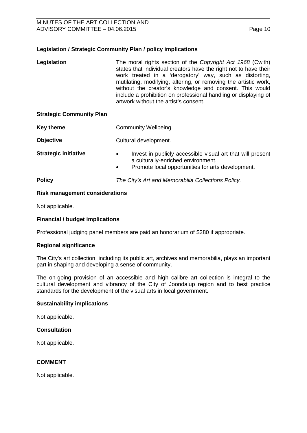#### **Legislation / Strategic Community Plan / policy implications**

| Legislation                     | The moral rights section of the Copyright Act 1968 (Cwlth)<br>states that individual creators have the right not to have their<br>work treated in a 'derogatory' way, such as distorting,<br>mutilating, modifying, altering, or removing the artistic work,<br>without the creator's knowledge and consent. This would<br>include a prohibition on professional handling or displaying of<br>artwork without the artist's consent. |
|---------------------------------|-------------------------------------------------------------------------------------------------------------------------------------------------------------------------------------------------------------------------------------------------------------------------------------------------------------------------------------------------------------------------------------------------------------------------------------|
| <b>Strategic Community Plan</b> |                                                                                                                                                                                                                                                                                                                                                                                                                                     |
| <b>Key theme</b>                | Community Wellbeing.                                                                                                                                                                                                                                                                                                                                                                                                                |
| <b>Objective</b>                | Cultural development.                                                                                                                                                                                                                                                                                                                                                                                                               |
| <b>Strategic initiative</b>     | Invest in publicly accessible visual art that will present<br>$\bullet$<br>a culturally-enriched environment.<br>Promote local opportunities for arts development.                                                                                                                                                                                                                                                                  |

**Policy** *The City's Art and Memorabilia Collections Policy.*

#### **Risk management considerations**

Not applicable.

#### **Financial / budget implications**

Professional judging panel members are paid an honorarium of \$280 if appropriate.

#### **Regional significance**

The City's art collection, including its public art, archives and memorabilia, plays an important part in shaping and developing a sense of community.

The on-going provision of an accessible and high calibre art collection is integral to the cultural development and vibrancy of the City of Joondalup region and to best practice standards for the development of the visual arts in local government.

#### **Sustainability implications**

Not applicable.

#### **Consultation**

Not applicable.

#### **COMMENT**

Not applicable.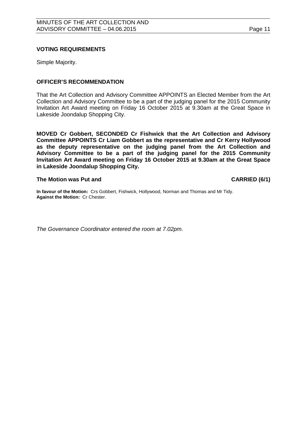#### **VOTING REQUIREMENTS**

Simple Majority.

#### **OFFICER'S RECOMMENDATION**

That the Art Collection and Advisory Committee APPOINTS an Elected Member from the Art Collection and Advisory Committee to be a part of the judging panel for the 2015 Community Invitation Art Award meeting on Friday 16 October 2015 at 9.30am at the Great Space in Lakeside Joondalup Shopping City.

**MOVED Cr Gobbert, SECONDED Cr Fishwick that the Art Collection and Advisory Committee APPOINTS Cr Liam Gobbert as the representative and Cr Kerry Hollywood as the deputy representative on the judging panel from the Art Collection and Advisory Committee to be a part of the judging panel for the 2015 Community Invitation Art Award meeting on Friday 16 October 2015 at 9.30am at the Great Space in Lakeside Joondalup Shopping City.**

**The Motion was Put and CARRIED (6/1)**

**In favour of the Motion:** Crs Gobbert, Fishwick, Hollywood, Norman and Thomas and Mr Tidy. **Against the Motion:** Cr Chester.

*The Governance Coordinator entered the room at 7.02pm.*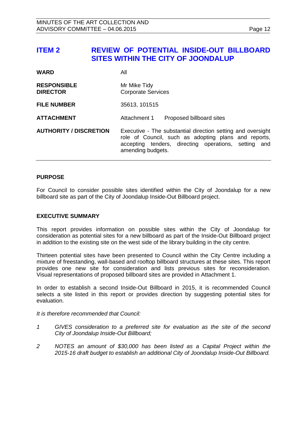# <span id="page-11-0"></span>**ITEM 2 REVIEW OF POTENTIAL INSIDE-OUT BILLBOARD SITES WITHIN THE CITY OF JOONDALUP**

| <b>WARD</b>                           | All                                                                                                                                                                                                 |
|---------------------------------------|-----------------------------------------------------------------------------------------------------------------------------------------------------------------------------------------------------|
| <b>RESPONSIBLE</b><br><b>DIRECTOR</b> | Mr Mike Tidy<br><b>Corporate Services</b>                                                                                                                                                           |
| <b>FILE NUMBER</b>                    | 35613, 101515                                                                                                                                                                                       |
| <b>ATTACHMENT</b>                     | Attachment 1<br>Proposed billboard sites                                                                                                                                                            |
| <b>AUTHORITY / DISCRETION</b>         | Executive - The substantial direction setting and oversight<br>role of Council, such as adopting plans and reports,<br>accepting tenders, directing operations, setting<br>and<br>amending budgets. |

#### **PURPOSE**

For Council to consider possible sites identified within the City of Joondalup for a new billboard site as part of the City of Joondalup Inside-Out Billboard project.

#### **EXECUTIVE SUMMARY**

This report provides information on possible sites within the City of Joondalup for consideration as potential sites for a new billboard as part of the Inside-Out Billboard project in addition to the existing site on the west side of the library building in the city centre.

Thirteen potential sites have been presented to Council within the City Centre including a mixture of freestanding, wall-based and rooftop billboard structures at these sites. This report provides one new site for consideration and lists previous sites for reconsideration. Visual representations of proposed billboard sites are provided in Attachment 1.

In order to establish a second Inside-Out Billboard in 2015, it is recommended Council selects a site listed in this report or provides direction by suggesting potential sites for evaluation.

*It is therefore recommended that Council:*

- *1 GIVES consideration to a preferred site for evaluation as the site of the second City of Joondalup Inside-Out Billboard;*
- *2 NOTES an amount of \$30,000 has been listed as a Capital Project within the 2015-16 draft budget to establish an additional City of Joondalup Inside-Out Billboard.*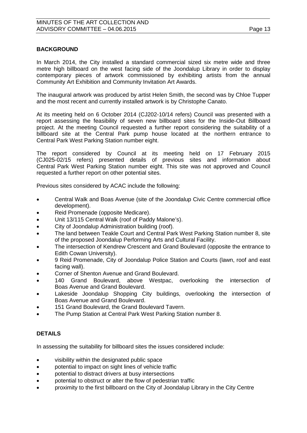#### **BACKGROUND**

In March 2014, the City installed a standard commercial sized six metre wide and three metre high billboard on the west facing side of the Joondalup Library in order to display contemporary pieces of artwork commissioned by exhibiting artists from the annual Community Art Exhibition and Community Invitation Art Awards.

The inaugural artwork was produced by artist Helen Smith, the second was by Chloe Tupper and the most recent and currently installed artwork is by Christophe Canato.

At its meeting held on 6 October 2014 (CJ202-10/14 refers) Council was presented with a report assessing the feasibility of seven new billboard sites for the Inside-Out Billboard project. At the meeting Council requested a further report considering the suitability of a billboard site at the Central Park pump house located at the northern entrance to Central Park West Parking Station number eight.

The report considered by Council at its meeting held on 17 February 2015 (CJ025-02/15 refers) presented details of previous sites and information about Central Park West Parking Station number eight. This site was not approved and Council requested a further report on other potential sites.

Previous sites considered by ACAC include the following:

- Central Walk and Boas Avenue (site of the Joondalup Civic Centre commercial office development).
- Reid Promenade (opposite Medicare).
- Unit 13/115 Central Walk (roof of Paddy Malone's).
- City of Joondalup Administration building (roof).
- The land between Teakle Court and Central Park West Parking Station number 8, site of the proposed Joondalup Performing Arts and Cultural Facility.
- The intersection of Kendrew Crescent and Grand Boulevard (opposite the entrance to Edith Cowan University).
- 9 Reid Promenade, City of Joondalup Police Station and Courts (lawn, roof and east facing wall).
- Corner of Shenton Avenue and Grand Boulevard.
- 140 Grand Boulevard, above Westpac, overlooking the intersection of Boas Avenue and Grand Boulevard.
- Lakeside Joondalup Shopping City buildings, overlooking the intersection of Boas Avenue and Grand Boulevard.
- 151 Grand Boulevard, the Grand Boulevard Tavern.
- The Pump Station at Central Park West Parking Station number 8.

### **DETAILS**

In assessing the suitability for billboard sites the issues considered include:

- visibility within the designated public space
- potential to impact on sight lines of vehicle traffic
- potential to distract drivers at busy intersections
- potential to obstruct or alter the flow of pedestrian traffic
- proximity to the first billboard on the City of Joondalup Library in the City Centre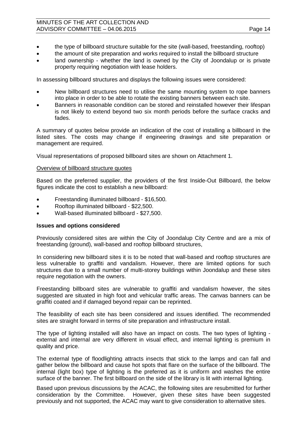- the type of billboard structure suitable for the site (wall-based, freestanding, rooftop)
- the amount of site preparation and works required to install the billboard structure
- land ownership whether the land is owned by the City of Joondalup or is private property requiring negotiation with lease holders.

In assessing billboard structures and displays the following issues were considered:

- New billboard structures need to utilise the same mounting system to rope banners into place in order to be able to rotate the existing banners between each site.
- Banners in reasonable condition can be stored and reinstalled however their lifespan is not likely to extend beyond two six month periods before the surface cracks and fades.

A summary of quotes below provide an indication of the cost of installing a billboard in the listed sites. The costs may change if engineering drawings and site preparation or management are required.

Visual representations of proposed billboard sites are shown on Attachment 1.

#### Overview of billboard structure quotes

Based on the preferred supplier, the providers of the first Inside-Out Billboard, the below figures indicate the cost to establish a new billboard:

- Freestanding illuminated billboard \$16,500.
- Rooftop illuminated billboard \$22,500.
- Wall-based illuminated billboard \$27,500.

#### **Issues and options considered**

Previously considered sites are within the City of Joondalup City Centre and are a mix of freestanding (ground), wall-based and rooftop billboard structures,

In considering new billboard sites it is to be noted that wall-based and rooftop structures are less vulnerable to graffiti and vandalism. However, there are limited options for such structures due to a small number of multi-storey buildings within Joondalup and these sites require negotiation with the owners.

Freestanding billboard sites are vulnerable to graffiti and vandalism however, the sites suggested are situated in high foot and vehicular traffic areas. The canvas banners can be graffiti coated and if damaged beyond repair can be reprinted.

The feasibility of each site has been considered and issues identified. The recommended sites are straight forward in terms of site preparation and infrastructure install.

The type of lighting installed will also have an impact on costs. The two types of lighting external and internal are very different in visual effect, and internal lighting is premium in quality and price.

The external type of floodlighting attracts insects that stick to the lamps and can fall and gather below the billboard and cause hot spots that flare on the surface of the billboard. The internal (light box) type of lighting is the preferred as it is uniform and washes the entire surface of the banner. The first billboard on the side of the library is lit with internal lighting.

Based upon previous discussions by the ACAC, the following sites are resubmitted for further consideration by the Committee. However, given these sites have been suggested previously and not supported, the ACAC may want to give consideration to alternative sites.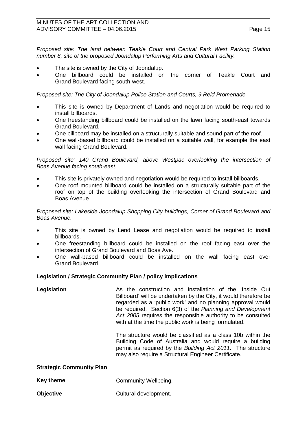*Proposed site: The land between Teakle Court and Central Park West Parking Station number 8, site of the proposed Joondalup Performing Arts and Cultural Facility.*

- The site is owned by the City of Joondalup.
- One billboard could be installed on the corner of Teakle Court and Grand Boulevard facing south-west.

*Proposed site: The City of Joondalup Police Station and Courts, 9 Reid Promenade*

- This site is owned by Department of Lands and negotiation would be required to install billboards.
- One freestanding billboard could be installed on the lawn facing south-east towards Grand Boulevard.
- One billboard may be installed on a structurally suitable and sound part of the roof.
- One wall-based billboard could be installed on a suitable wall, for example the east wall facing Grand Boulevard.

*Proposed site: 140 Grand Boulevard, above Westpac overlooking the intersection of Boas Avenue facing south-east.*

- This site is privately owned and negotiation would be required to install billboards.
- One roof mounted billboard could be installed on a structurally suitable part of the roof on top of the building overlooking the intersection of Grand Boulevard and Boas Avenue.

*Proposed site: Lakeside Joondalup Shopping City buildings, Corner of Grand Boulevard and Boas Avenue.*

- This site is owned by Lend Lease and negotiation would be required to install billboards.
- One freestanding billboard could be installed on the roof facing east over the intersection of Grand Boulevard and Boas Ave.
- One wall-based billboard could be installed on the wall facing east over Grand Boulevard.

### **Legislation / Strategic Community Plan / policy implications**

| Legislation                     | As the construction and installation of the 'Inside Out<br>Billboard' will be undertaken by the City, it would therefore be<br>regarded as a 'public work' and no planning approval would<br>be required. Section 6(3) of the Planning and Development<br>Act 2005 requires the responsible authority to be consulted<br>with at the time the public work is being formulated. |
|---------------------------------|--------------------------------------------------------------------------------------------------------------------------------------------------------------------------------------------------------------------------------------------------------------------------------------------------------------------------------------------------------------------------------|
|                                 | The structure would be classified as a class 10b within the<br>Building Code of Australia and would require a building<br>permit as required by the Building Act 2011. The structure<br>may also require a Structural Engineer Certificate.                                                                                                                                    |
| <b>Strategic Community Plan</b> |                                                                                                                                                                                                                                                                                                                                                                                |

| Key theme | Community Wellbeing.  |
|-----------|-----------------------|
| Objective | Cultural development. |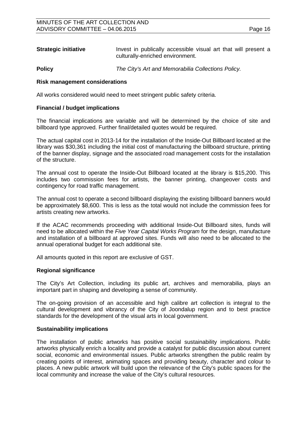| Strategic initiative | Invest in publically accessible visual art that will present a |
|----------------------|----------------------------------------------------------------|
|                      | culturally-enriched environment.                               |

**Policy** *The City's Art and Memorabilia Collections Policy.*

#### **Risk management considerations**

All works considered would need to meet stringent public safety criteria.

#### **Financial / budget implications**

The financial implications are variable and will be determined by the choice of site and billboard type approved. Further final/detailed quotes would be required.

The actual capital cost in 2013-14 for the installation of the Inside-Out Billboard located at the library was \$30,361 including the initial cost of manufacturing the billboard structure, printing of the banner display, signage and the associated road management costs for the installation of the structure.

The annual cost to operate the Inside-Out Billboard located at the library is \$15,200. This includes two commission fees for artists, the banner printing, changeover costs and contingency for road traffic management.

The annual cost to operate a second billboard displaying the existing billboard banners would be approximately \$8,600. This is less as the total would not include the commission fees for artists creating new artworks.

If the ACAC recommends proceeding with additional Inside-Out Billboard sites, funds will need to be allocated within the *Five Year Capital Works Program* for the design, manufacture and installation of a billboard at approved sites. Funds will also need to be allocated to the annual operational budget for each additional site.

All amounts quoted in this report are exclusive of GST.

#### **Regional significance**

The City's Art Collection, including its public art, archives and memorabilia, plays an important part in shaping and developing a sense of community.

The on-going provision of an accessible and high calibre art collection is integral to the cultural development and vibrancy of the City of Joondalup region and to best practice standards for the development of the visual arts in local government.

#### **Sustainability implications**

The installation of public artworks has positive social sustainability implications. Public artworks physically enrich a locality and provide a catalyst for public discussion about current social, economic and environmental issues. Public artworks strengthen the public realm by creating points of interest, animating spaces and providing beauty, character and colour to places. A new public artwork will build upon the relevance of the City's public spaces for the local community and increase the value of the City's cultural resources.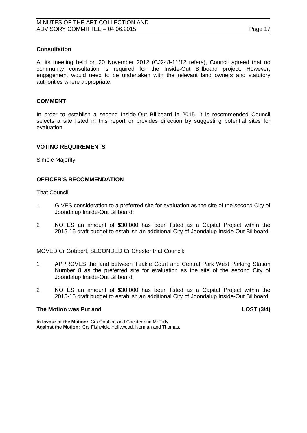#### **Consultation**

At its meeting held on 20 November 2012 (CJ248-11/12 refers), Council agreed that no community consultation is required for the Inside-Out Billboard project. However, engagement would need to be undertaken with the relevant land owners and statutory authorities where appropriate.

#### **COMMENT**

In order to establish a second Inside-Out Billboard in 2015, it is recommended Council selects a site listed in this report or provides direction by suggesting potential sites for evaluation.

#### **VOTING REQUIREMENTS**

Simple Majority.

#### **OFFICER'S RECOMMENDATION**

That Council:

- 1 GIVES consideration to a preferred site for evaluation as the site of the second City of Joondalup Inside-Out Billboard;
- 2 NOTES an amount of \$30,000 has been listed as a Capital Project within the 2015-16 draft budget to establish an additional City of Joondalup Inside-Out Billboard.

MOVED Cr Gobbert, SECONDED Cr Chester that Council:

- 1 APPROVES the land between Teakle Court and Central Park West Parking Station Number 8 as the preferred site for evaluation as the site of the second City of Joondalup Inside-Out Billboard;
- 2 NOTES an amount of \$30,000 has been listed as a Capital Project within the 2015-16 draft budget to establish an additional City of Joondalup Inside-Out Billboard.

#### **The Motion was Put and LOST (3/4)**

**In favour of the Motion:** Crs Gobbert and Chester and Mr Tidy. **Against the Motion:** Crs Fishwick, Hollywood, Norman and Thomas.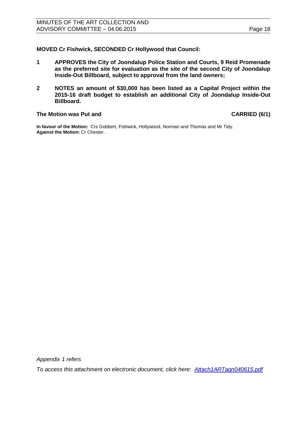**MOVED Cr Fishwick, SECONDED Cr Hollywood that Council:**

- **1 APPROVES the City of Joondalup Police Station and Courts, 9 Reid Promenade as the preferred site for evaluation as the site of the second City of Joondalup Inside-Out Billboard, subject to approval from the land owners;**
- **2 NOTES an amount of \$30,000 has been listed as a Capital Project within the 2015-16 draft budget to establish an additional City of Joondalup Inside-Out Billboard.**

#### **The Motion was Put and CARRIED (6/1)**

**In favour of the Motion:** Crs Gobbert, Fishwick, Hollywood, Norman and Thomas and Mr Tidy. **Against the Motion:** Cr Chester.

*Appendix 1 refers*

*To access this attachment on electronic document, click here*: *[Attach1ARTagn040615.pdf](http://www.joondalup.wa.gov.au/files/committees/ACAC/2015/Attach1ARTagn040615.pdf)*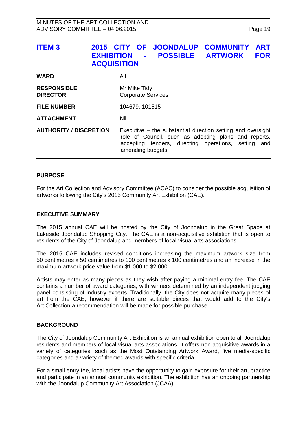<span id="page-18-0"></span>

| <b>ITEM3</b>                          | <b>EXHIBITION</b><br><b>ACQUISITION</b> | $\blacksquare$                            | 2015 CITY OF JOONDALUP<br><b>POSSIBLE</b>                                                                                                                                     | <b>COMMUNITY</b><br><b>ARTWORK</b> | <b>ART</b><br><b>FOR</b> |
|---------------------------------------|-----------------------------------------|-------------------------------------------|-------------------------------------------------------------------------------------------------------------------------------------------------------------------------------|------------------------------------|--------------------------|
| <b>WARD</b>                           | All                                     |                                           |                                                                                                                                                                               |                                    |                          |
| <b>RESPONSIBLE</b><br><b>DIRECTOR</b> |                                         | Mr Mike Tidy<br><b>Corporate Services</b> |                                                                                                                                                                               |                                    |                          |
| <b>FILE NUMBER</b>                    |                                         | 104679, 101515                            |                                                                                                                                                                               |                                    |                          |
| <b>ATTACHMENT</b>                     | Nil.                                    |                                           |                                                                                                                                                                               |                                    |                          |
| <b>AUTHORITY / DISCRETION</b>         |                                         | amending budgets.                         | Executive $-$ the substantial direction setting and oversight<br>role of Council, such as adopting plans and reports,<br>accepting tenders, directing operations, setting and |                                    |                          |

#### **PURPOSE**

For the Art Collection and Advisory Committee (ACAC) to consider the possible acquisition of artworks following the City's 2015 Community Art Exhibition (CAE).

#### **EXECUTIVE SUMMARY**

The 2015 annual CAE will be hosted by the City of Joondalup in the Great Space at Lakeside Joondalup Shopping City. The CAE is a non-acquisitive exhibition that is open to residents of the City of Joondalup and members of local visual arts associations.

The 2015 CAE includes revised conditions increasing the maximum artwork size from 50 centimetres x 50 centimetres to 100 centimetres x 100 centimetres and an increase in the maximum artwork price value from \$1,000 to \$2,000.

Artists may enter as many pieces as they wish after paying a minimal entry fee. The CAE contains a number of award categories, with winners determined by an independent judging panel consisting of industry experts. Traditionally, the City does not acquire many pieces of art from the CAE, however if there are suitable pieces that would add to the City's Art Collection a recommendation will be made for possible purchase.

#### **BACKGROUND**

The City of Joondalup Community Art Exhibition is an annual exhibition open to all Joondalup residents and members of local visual arts associations. It offers non acquisitive awards in a variety of categories, such as the Most Outstanding Artwork Award, five media-specific categories and a variety of themed awards with specific criteria.

For a small entry fee, local artists have the opportunity to gain exposure for their art, practice and participate in an annual community exhibition. The exhibition has an ongoing partnership with the Joondalup Community Art Association (JCAA).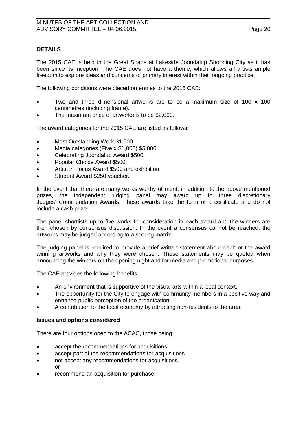### **DETAILS**

The 2015 CAE is held in the Great Space at Lakeside Joondalup Shopping City as it has been since its inception. The CAE does not have a theme, which allows all artists ample freedom to explore ideas and concerns of primary interest within their ongoing practice.

The following conditions were placed on entries to the 2015 CAE:

- Two and three dimensional artworks are to be a maximum size of 100 x 100 centimetres (including frame).
- The maximum price of artworks is to be \$2,000.

The award categories for the 2015 CAE are listed as follows:

- Most Outstanding Work \$1,500.
- Media categories (Five x \$1,000) \$5,000.
- Celebrating Joondalup Award \$500.
- Popular Choice Award \$500.
- Artist in Focus Award \$500 and exhibition.
- Student Award \$250 voucher.

In the event that there are many works worthy of merit, in addition to the above mentioned prizes, the independent judging panel may award up to three discretionary Judges' Commendation Awards. These awards take the form of a certificate and do not include a cash prize.

The panel shortlists up to five works for consideration in each award and the winners are then chosen by consensus discussion. In the event a consensus cannot be reached, the artworks may be judged according to a scoring matrix.

The judging panel is required to provide a brief written statement about each of the award winning artworks and why they were chosen. These statements may be quoted when announcing the winners on the opening night and for media and promotional purposes.

The CAE provides the following benefits:

- An environment that is supportive of the visual arts within a local context.
- The opportunity for the City to engage with community members in a positive way and enhance public perception of the organisation.
- A contribution to the local economy by attracting non-residents to the area.

#### **Issues and options considered**

There are four options open to the ACAC, those being:

- accept the recommendations for acquisitions
- accept part of the recommendations for acquisitions
- not accept any recommendations for acquisitions or
- recommend an acquisition for purchase.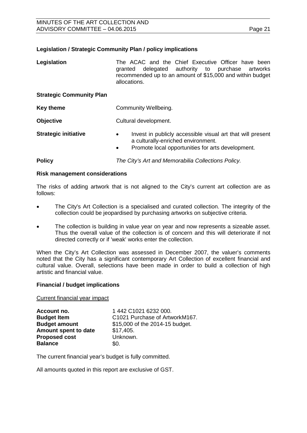#### **Legislation / Strategic Community Plan / policy implications**

| Legislation                     | The ACAC and the Chief Executive Officer have been<br>delegated authority to<br>purchase artworks<br>aranted<br>recommended up to an amount of \$15,000 and within budget<br>allocations. |  |
|---------------------------------|-------------------------------------------------------------------------------------------------------------------------------------------------------------------------------------------|--|
| <b>Strategic Community Plan</b> |                                                                                                                                                                                           |  |
| <b>Key theme</b>                | Community Wellbeing.                                                                                                                                                                      |  |
| <b>Objective</b>                | Cultural development.                                                                                                                                                                     |  |
| <b>Strategic initiative</b>     | Invest in publicly accessible visual art that will present<br>$\bullet$                                                                                                                   |  |

**Policy** *The City's Art and Memorabilia Collections Policy.*

• Promote local opportunities for arts development.

a culturally-enriched environment.

#### **Risk management considerations**

The risks of adding artwork that is not aligned to the City's current art collection are as follows:

- The City's Art Collection is a specialised and curated collection. The integrity of the collection could be jeopardised by purchasing artworks on subjective criteria.
- The collection is building in value year on year and now represents a sizeable asset. Thus the overall value of the collection is of concern and this will deteriorate if not directed correctly or if 'weak' works enter the collection.

When the City's Art Collection was assessed in December 2007, the valuer's comments noted that the City has a significant contemporary Art Collection of excellent financial and cultural value. Overall, selections have been made in order to build a collection of high artistic and financial value.

#### **Financial / budget implications**

Current financial year impact

| Account no.          | 1442 C1021 6232 000.            |
|----------------------|---------------------------------|
| <b>Budget Item</b>   | C1021 Purchase of ArtworkM167.  |
| <b>Budget amount</b> | \$15,000 of the 2014-15 budget. |
| Amount spent to date | \$17,405.                       |
| <b>Proposed cost</b> | Unknown.                        |
| <b>Balance</b>       | \$0.                            |

The current financial year's budget is fully committed.

All amounts quoted in this report are exclusive of GST.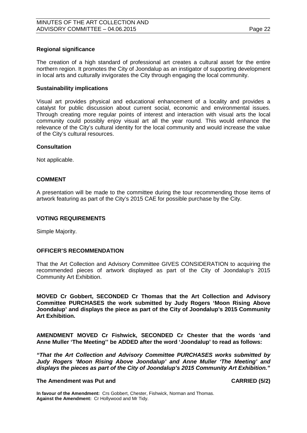#### **Regional significance**

The creation of a high standard of professional art creates a cultural asset for the entire northern region. It promotes the City of Joondalup as an instigator of supporting development in local arts and culturally invigorates the City through engaging the local community.

#### **Sustainability implications**

Visual art provides physical and educational enhancement of a locality and provides a catalyst for public discussion about current social, economic and environmental issues. Through creating more regular points of interest and interaction with visual arts the local community could possibly enjoy visual art all the year round. This would enhance the relevance of the City's cultural identity for the local community and would increase the value of the City's cultural resources.

#### **Consultation**

Not applicable.

#### **COMMENT**

A presentation will be made to the committee during the tour recommending those items of artwork featuring as part of the City's 2015 CAE for possible purchase by the City.

#### **VOTING REQUIREMENTS**

Simple Majority.

#### **OFFICER'S RECOMMENDATION**

That the Art Collection and Advisory Committee GIVES CONSIDERATION to acquiring the recommended pieces of artwork displayed as part of the City of Joondalup's 2015 Community Art Exhibition.

**MOVED Cr Gobbert, SECONDED Cr Thomas that the Art Collection and Advisory Committee PURCHASES the work submitted by Judy Rogers 'Moon Rising Above Joondalup' and displays the piece as part of the City of Joondalup's 2015 Community Art Exhibition.**

**AMENDMENT MOVED Cr Fishwick, SECONDED Cr Chester that the words 'and Anne Muller 'The Meeting'' be ADDED after the word 'Joondalup' to read as follows:**

*"That the Art Collection and Advisory Committee PURCHASES works submitted by Judy Rogers 'Moon Rising Above Joondalup' and Anne Muller 'The Meeting' and displays the pieces as part of the City of Joondalup's 2015 Community Art Exhibition."*

#### **The Amendment was Put and CARRIED (5/2)**

**In favour of the Amendment:** Crs Gobbert, Chester, Fishwick, Norman and Thomas. **Against the Amendment:** Cr Hollywood and Mr Tidy.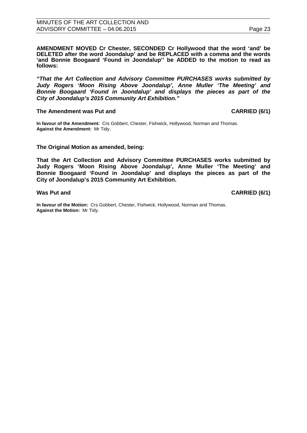**AMENDMENT MOVED Cr Chester, SECONDED Cr Hollywood that the word 'and' be DELETED after the word Joondalup' and be REPLACED with a comma and the words 'and Bonnie Boogaard 'Found in Joondalup'' be ADDED to the motion to read as follows:**

*"That the Art Collection and Advisory Committee PURCHASES works submitted by Judy Rogers 'Moon Rising Above Joondalup', Anne Muller 'The Meeting' and Bonnie Boogaard 'Found in Joondalup' and displays the pieces as part of the City of Joondalup's 2015 Community Art Exhibition."*

#### **The Amendment was Put and CARRIED (6/1)**

**In favour of the Amendment:** Crs Gobbert, Chester, Fishwick, Hollywood, Norman and Thomas. **Against the Amendment:** Mr Tidy.

#### **The Original Motion as amended, being:**

**That the Art Collection and Advisory Committee PURCHASES works submitted by Judy Rogers 'Moon Rising Above Joondalup', Anne Muller 'The Meeting' and Bonnie Boogaard 'Found in Joondalup' and displays the pieces as part of the City of Joondalup's 2015 Community Art Exhibition.**

**Was Put and CARRIED (6/1)**

**In favour of the Motion:** Crs Gobbert, Chester, Fishwick, Hollywood, Norman and Thomas. **Against the Motion:** Mr Tidy.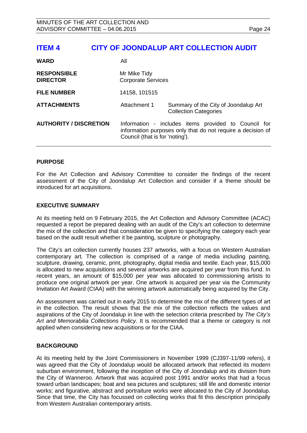## <span id="page-23-0"></span>**ITEM 4 CITY OF JOONDALUP ART COLLECTION AUDIT**

| <b>WARD</b>                           | All                                                                                                                                                    |                                                                      |  |
|---------------------------------------|--------------------------------------------------------------------------------------------------------------------------------------------------------|----------------------------------------------------------------------|--|
| <b>RESPONSIBLE</b><br><b>DIRECTOR</b> | Mr Mike Tidy<br><b>Corporate Services</b>                                                                                                              |                                                                      |  |
| <b>FILE NUMBER</b>                    | 14158, 101515                                                                                                                                          |                                                                      |  |
| <b>ATTACHMENTS</b>                    | Attachment 1                                                                                                                                           | Summary of the City of Joondalup Art<br><b>Collection Categories</b> |  |
| <b>AUTHORITY / DISCRETION</b>         | Information - includes items provided to Council for<br>information purposes only that do not require a decision of<br>Council (that is for 'noting'). |                                                                      |  |

#### **PURPOSE**

For the Art Collection and Advisory Committee to consider the findings of the recent assessment of the City of Joondalup Art Collection and consider if a theme should be introduced for art acquisitions.

#### **EXECUTIVE SUMMARY**

At its meeting held on 9 February 2015, the Art Collection and Advisory Committee (ACAC) requested a report be prepared dealing with an audit of the City's art collection to determine the mix of the collection and that consideration be given to specifying the category each year based on the audit result whether it be painting, sculpture or photography.

The City's art collection currently houses 237 artworks, with a focus on Western Australian contemporary art. The collection is comprised of a range of media including painting, sculpture, drawing, ceramic, print, photography, digital media and textile. Each year, \$15,000 is allocated to new acquisitions and several artworks are acquired per year from this fund. In recent years, an amount of \$15,000 per year was allocated to commissioning artists to produce one original artwork per year. One artwork is acquired per year via the Community Invitation Art Award (CIAA) with the winning artwork automatically being acquired by the City.

An assessment was carried out in early 2015 to determine the mix of the different types of art in the collection. The result shows that the mix of the collection reflects the values and aspirations of the City of Joondalup in line with the selection criteria prescribed by *The City's Art and Memorabilia Collections Policy*. It is recommended that a theme or category is not applied when considering new acquisitions or for the CIAA.

#### **BACKGROUND**

At its meeting held by the Joint Commissioners in November 1999 (CJ397-11/99 refers), it was agreed that the City of Joondalup would be allocated artwork that reflected its modern suburban environment, following the inception of the City of Joondalup and its division from the City of Wanneroo. Artwork that was acquired post 1991 and/or works that had a focus toward urban landscapes; boat and sea pictures and sculptures; still life and domestic interior works; and figurative, abstract and portraiture works were allocated to the City of Joondalup. Since that time, the City has focussed on collecting works that fit this description principally from Western Australian contemporary artists.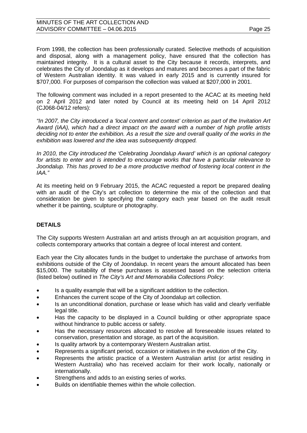From 1998, the collection has been professionally curated. Selective methods of acquisition and disposal, along with a management policy, have ensured that the collection has maintained integrity. It is a cultural asset to the City because it records, interprets, and celebrates the City of Joondalup as it develops and matures and becomes a part of the fabric of Western Australian identity. It was valued in early 2015 and is currently insured for \$707,000. For purposes of comparison the collection was valued at \$207,000 in 2001.

The following comment was included in a report presented to the ACAC at its meeting held on 2 April 2012 and later noted by Council at its meeting held on 14 April 2012 (CJ068-04/12 refers):

*"In 2007, the City introduced a 'local content and context' criterion as part of the Invitation Art Award (IAA), which had a direct impact on the award with a number of high profile artists deciding not to enter the exhibition. As a result the size and overall quality of the works in the exhibition was lowered and the idea was subsequently dropped.* 

*In 2010, the City introduced the 'Celebrating Joondalup Award' which is an optional category for artists to enter and is intended to encourage works that have a particular relevance to*  Joondalup. This has proved to be a more productive method of fostering local content in the *IAA."*

At its meeting held on 9 February 2015, the ACAC requested a report be prepared dealing with an audit of the City's art collection to determine the mix of the collection and that consideration be given to specifying the category each year based on the audit result whether it be painting, sculpture or photography.

### **DETAILS**

The City supports Western Australian art and artists through an art acquisition program, and collects contemporary artworks that contain a degree of local interest and content.

Each year the City allocates funds in the budget to undertake the purchase of artworks from exhibitions outside of the City of Joondalup. In recent years the amount allocated has been \$15,000. The suitability of these purchases is assessed based on the selection criteria (listed below) outlined in *The City's Art and Memorabilia Collections Policy*:

- Is a quality example that will be a significant addition to the collection.
- Enhances the current scope of the City of Joondalup art collection.
- Is an unconditional donation, purchase or lease which has valid and clearly verifiable legal title.
- Has the capacity to be displayed in a Council building or other appropriate space without hindrance to public access or safety.
- Has the necessary resources allocated to resolve all foreseeable issues related to conservation, presentation and storage, as part of the acquisition.
- Is quality artwork by a contemporary Western Australian artist.
- Represents a significant period, occasion or initiatives in the evolution of the City.
- Represents the artistic practice of a Western Australian artist (or artist residing in Western Australia) who has received acclaim for their work locally, nationally or internationally.
- Strengthens and adds to an existing series of works.
- Builds on identifiable themes within the whole collection.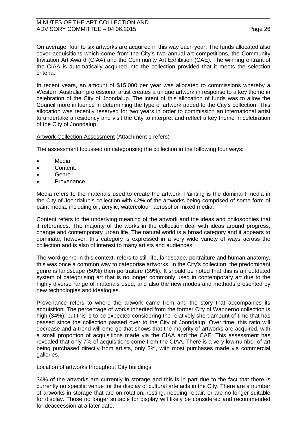On average, four to six artworks are acquired in this way each year. The funds allocated also cover acquisitions which come from the City's two annual art competitions, the Community Invitation Art Award (CIAA) and the Community Art Exhibition (CAE). The winning entrant of the CIAA is automatically acquired into the collection provided that it meets the selection criteria.

In recent years, an amount of \$15,000 per year was allocated to commissions whereby a Western Australian professional artist creates a unique artwork in response to a key theme in celebration of the City of Joondalup. The intent of this allocation of funds was to allow the Council more influence in determining the type of artwork added to the City's collection. This allocation was recently reserved for two years in order to commission an international artist to undertake a residency and visit the City to interpret and reflect a key theme in celebration of the City of Joondalup.

#### Artwork Collection Assessment (Attachment 1 refers)

The assessment focussed on categorising the collection in the following four ways:

- Media.
- Content.
- Genre.
- Provenance.

Media refers to the materials used to create the artwork. Painting is the dominant media in the City of Joondalup's collection with 42% of the artworks being comprised of some form of paint media, including oil, acrylic, watercolour, aerosol or mixed media.

Content refers to the underlying meaning of the artwork and the ideas and philosophies that it references. The majority of the works in the collection deal with ideas around progress, change and contemporary urban life. The natural world is a broad category and it appears to dominate; however, this category is expressed in a very wide variety of ways across the collection and is also of interest to many artists and audiences.

The word genre in this context, refers to still life, landscape, portraiture and human anatomy, this was once a common way to categorise artworks. In the City's collection, the predominant genre is landscape (50%) then portraiture (39%). It should be noted that this is an outdated system of categorising art that is no longer commonly used in contemporary art due to the highly diverse range of materials used, and also the new modes and methods presented by new technologies and idealogies.

Provenance refers to where the artwork came from and the story that accompanies its acquisition. The percentage of works inherited from the former City of Wanneroo collection is high (34%), but this is to be expected considering the relatively short amount of time that has passed since the collection passed over to the City of Joondalup. Over time, this ratio will decrease and a trend will emerge that shows that the majority of artworks are acquired, with a small proportion of acquisitions made via the CIAA and the CAE. This assessment has revealed that only 7% of acquisitions come from the CIAA. There is a very low number of art being purchased directly from artists, only 2%, with most purchases made via commercial galleries.

#### Location of artworks throughout City buildings

34% of the artworks are currently in storage and this is in part due to the fact that there is currently no specific venue for the display of cultural artefacts in the City. There are a number of artworks in storage that are on rotation, resting, needing repair, or are no longer suitable for display. Those no longer suitable for display will likely be considered and recommended for deaccession at a later date.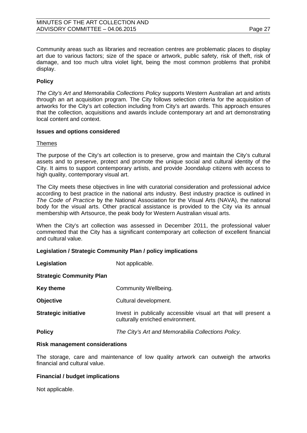Community areas such as libraries and recreation centres are problematic places to display art due to various factors; size of the space or artwork, public safety, risk of theft, risk of damage, and too much ultra violet light, being the most common problems that prohibit display.

#### **Policy**

*The City's Art and Memorabilia Collections Policy* supports Western Australian art and artists through an art acquisition program. The City follows selection criteria for the acquisition of artworks for the City's art collection including from City's art awards. This approach ensures that the collection, acquisitions and awards include contemporary art and art demonstrating local content and context.

#### **Issues and options considered**

#### Themes

The purpose of the City's art collection is to preserve, grow and maintain the City's cultural assets and to preserve, protect and promote the unique social and cultural identity of the City. It aims to support contemporary artists, and provide Joondalup citizens with access to high quality, contemporary visual art.

The City meets these objectives in line with curatorial consideration and professional advice according to best practice in the national arts industry. Best industry practice is outlined in *The Code of Practice* by the National Association for the Visual Arts (NAVA), the national body for the visual arts. Other practical assistance is provided to the City via its annual membership with Artsource, the peak body for Western Australian visual arts.

When the City's art collection was assessed in December 2011, the professional valuer commented that the City has a significant contemporary art collection of excellent financial and cultural value.

#### **Legislation / Strategic Community Plan / policy implications**

| Legislation                     | Not applicable.                                                                                    |
|---------------------------------|----------------------------------------------------------------------------------------------------|
| <b>Strategic Community Plan</b> |                                                                                                    |
| <b>Key theme</b>                | Community Wellbeing.                                                                               |
| <b>Objective</b>                | Cultural development.                                                                              |
| <b>Strategic initiative</b>     | Invest in publically accessible visual art that will present a<br>culturally enriched environment. |
| <b>Policy</b>                   | The City's Art and Memorabilia Collections Policy.                                                 |

#### **Risk management considerations**

The storage, care and maintenance of low quality artwork can outweigh the artworks financial and cultural value.

#### **Financial / budget implications**

Not applicable.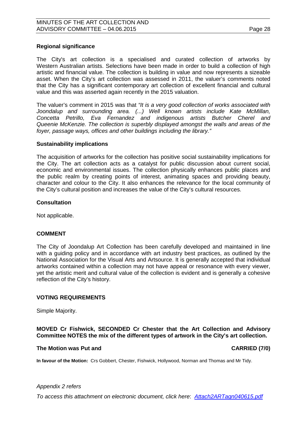#### **Regional significance**

The City's art collection is a specialised and curated collection of artworks by Western Australian artists. Selections have been made in order to build a collection of high artistic and financial value. The collection is building in value and now represents a sizeable asset. When the City's art collection was assessed in 2011, the valuer's comments noted that the City has a significant contemporary art collection of excellent financial and cultural value and this was asserted again recently in the 2015 valuation.

The valuer's comment in 2015 was that *"It is a very good collection of works associated with Joondalup and surrounding area. (...) Well known artists include Kate McMillan, Concetta Petrillo, Eva Fernandez and indigenous artists Butcher Cherel and Queenie McKenzie. The collection is superbly displayed amongst the walls and areas of the foyer, passage ways, offices and other buildings including the library."*

#### **Sustainability implications**

The acquisition of artworks for the collection has positive social sustainability implications for the City. The art collection acts as a catalyst for public discussion about current social, economic and environmental issues. The collection physically enhances public places and the public realm by creating points of interest, animating spaces and providing beauty, character and colour to the City. It also enhances the relevance for the local community of the City's cultural position and increases the value of the City's cultural resources.

#### **Consultation**

Not applicable.

#### **COMMENT**

The City of Joondalup Art Collection has been carefully developed and maintained in line with a guiding policy and in accordance with art industry best practices, as outlined by the National Association for the Visual Arts and Artsource. It is generally accepted that individual artworks contained within a collection may not have appeal or resonance with every viewer, yet the artistic merit and cultural value of the collection is evident and is generally a cohesive reflection of the City's history.

#### **VOTING REQUIREMENTS**

Simple Majority.

#### **MOVED Cr Fishwick, SECONDED Cr Chester that the Art Collection and Advisory Committee NOTES the mix of the different types of artwork in the City's art collection.**

#### **The Motion was Put and CARRIED (7/0)**

**In favour of the Motion:** Crs Gobbert, Chester, Fishwick, Hollywood, Norman and Thomas and Mr Tidy.

#### *Appendix 2 refers*

*To access this attachment on electronic document, click here*: *[Attach2ARTagn040615.pdf](http://www.joondalup.wa.gov.au/files/committees/ACAC/2015/Attach2ARTagn040615.pdf)*